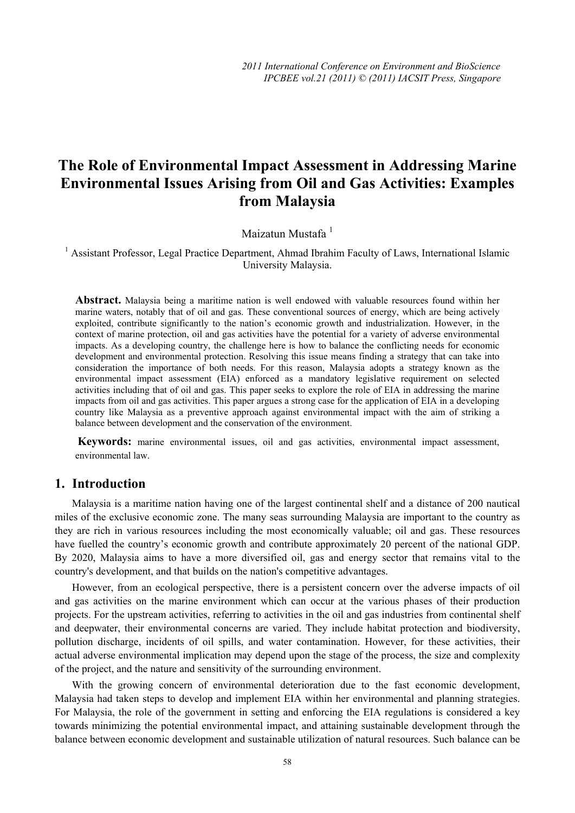# **The Role of Environmental Impact Assessment in Addressing Marine Environmental Issues Arising from Oil and Gas Activities: Examples from Malaysia**

Maizatun Mustafa<sup>1</sup>

<sup>1</sup> Assistant Professor, Legal Practice Department, Ahmad Ibrahim Faculty of Laws, International Islamic University Malaysia.

**Abstract.** Malaysia being a maritime nation is well endowed with valuable resources found within her marine waters, notably that of oil and gas. These conventional sources of energy, which are being actively exploited, contribute significantly to the nation's economic growth and industrialization. However, in the context of marine protection, oil and gas activities have the potential for a variety of adverse environmental impacts. As a developing country, the challenge here is how to balance the conflicting needs for economic development and environmental protection. Resolving this issue means finding a strategy that can take into consideration the importance of both needs. For this reason, Malaysia adopts a strategy known as the environmental impact assessment (EIA) enforced as a mandatory legislative requirement on selected activities including that of oil and gas. This paper seeks to explore the role of EIA in addressing the marine impacts from oil and gas activities. This paper argues a strong case for the application of EIA in a developing country like Malaysia as a preventive approach against environmental impact with the aim of striking a balance between development and the conservation of the environment.

**Keywords:** marine environmental issues, oil and gas activities, environmental impact assessment, environmental law.

### **1. Introduction**

Malaysia is a maritime nation having one of the largest continental shelf and a distance of 200 nautical miles of the exclusive economic zone. The many seas surrounding Malaysia are important to the country as they are rich in various resources including the most economically valuable; oil and gas. These resources have fuelled the country's economic growth and contribute approximately 20 percent of the national GDP. By 2020, Malaysia aims to have a more diversified oil, gas and energy sector that remains vital to the country's development, and that builds on the nation's competitive advantages.

However, from an ecological perspective, there is a persistent concern over the adverse impacts of oil and gas activities on the marine environment which can occur at the various phases of their production projects. For the upstream activities, referring to activities in the oil and gas industries from continental shelf and deepwater, their environmental concerns are varied. They include habitat protection and biodiversity, pollution discharge, incidents of oil spills, and water contamination. However, for these activities, their actual adverse environmental implication may depend upon the stage of the process, the size and complexity of the project, and the nature and sensitivity of the surrounding environment.

With the growing concern of environmental deterioration due to the fast economic development, Malaysia had taken steps to develop and implement EIA within her environmental and planning strategies. For Malaysia, the role of the government in setting and enforcing the EIA regulations is considered a key towards minimizing the potential environmental impact, and attaining sustainable development through the balance between economic development and sustainable utilization of natural resources. Such balance can be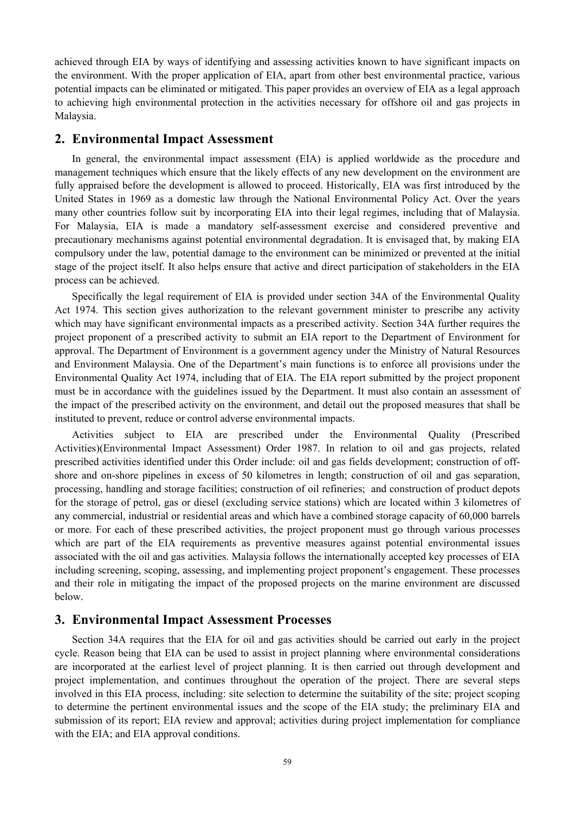achieved through EIA by ways of identifying and assessing activities known to have significant impacts on the environment. With the proper application of EIA, apart from other best environmental practice, various potential impacts can be eliminated or mitigated. This paper provides an overview of EIA as a legal approach to achieving high environmental protection in the activities necessary for offshore oil and gas projects in Malaysia.

#### **2. Environmental Impact Assessment**

In general, the environmental impact assessment (EIA) is applied worldwide as the procedure and management techniques which ensure that the likely effects of any new development on the environment are fully appraised before the development is allowed to proceed. Historically, EIA was first introduced by the United States in 1969 as a domestic law through the National Environmental Policy Act. Over the years many other countries follow suit by incorporating EIA into their legal regimes, including that of Malaysia. For Malaysia, EIA is made a mandatory self-assessment exercise and considered preventive and precautionary mechanisms against potential environmental degradation. It is envisaged that, by making EIA compulsory under the law, potential damage to the environment can be minimized or prevented at the initial stage of the project itself. It also helps ensure that active and direct participation of stakeholders in the EIA process can be achieved.

Specifically the legal requirement of EIA is provided under section 34A of the Environmental Quality Act 1974. This section gives authorization to the relevant government minister to prescribe any activity which may have significant environmental impacts as a prescribed activity. Section 34A further requires the project proponent of a prescribed activity to submit an EIA report to the Department of Environment for approval. The Department of Environment is a government agency under the Ministry of Natural Resources and Environment Malaysia. One of the Department's main functions is to enforce all provisions under the Environmental Quality Act 1974, including that of EIA. The EIA report submitted by the project proponent must be in accordance with the guidelines issued by the Department. It must also contain an assessment of the impact of the prescribed activity on the environment, and detail out the proposed measures that shall be instituted to prevent, reduce or control adverse environmental impacts.

Activities subject to EIA are prescribed under the Environmental Quality (Prescribed Activities)(Environmental Impact Assessment) Order 1987. In relation to oil and gas projects, related prescribed activities identified under this Order include: oil and gas fields development; construction of offshore and on-shore pipelines in excess of 50 kilometres in length; construction of oil and gas separation, processing, handling and storage facilities; construction of oil refineries; and construction of product depots for the storage of petrol, gas or diesel (excluding service stations) which are located within 3 kilometres of any commercial, industrial or residential areas and which have a combined storage capacity of 60,000 barrels or more. For each of these prescribed activities, the project proponent must go through various processes which are part of the EIA requirements as preventive measures against potential environmental issues associated with the oil and gas activities. Malaysia follows the internationally accepted key processes of EIA including screening, scoping, assessing, and implementing project proponent's engagement. These processes and their role in mitigating the impact of the proposed projects on the marine environment are discussed below.

#### **3. Environmental Impact Assessment Processes**

Section 34A requires that the EIA for oil and gas activities should be carried out early in the project cycle. Reason being that EIA can be used to assist in project planning where environmental considerations are incorporated at the earliest level of project planning. It is then carried out through development and project implementation, and continues throughout the operation of the project. There are several steps involved in this EIA process, including: site selection to determine the suitability of the site; project scoping to determine the pertinent environmental issues and the scope of the EIA study; the preliminary EIA and submission of its report; EIA review and approval; activities during project implementation for compliance with the EIA; and EIA approval conditions.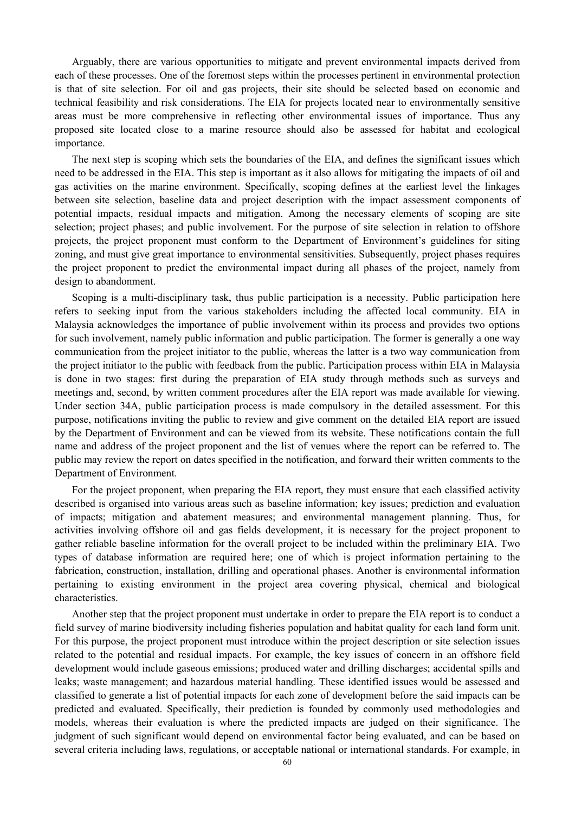Arguably, there are various opportunities to mitigate and prevent environmental impacts derived from each of these processes. One of the foremost steps within the processes pertinent in environmental protection is that of site selection. For oil and gas projects, their site should be selected based on economic and technical feasibility and risk considerations. The EIA for projects located near to environmentally sensitive areas must be more comprehensive in reflecting other environmental issues of importance. Thus any proposed site located close to a marine resource should also be assessed for habitat and ecological importance.

The next step is scoping which sets the boundaries of the EIA, and defines the significant issues which need to be addressed in the EIA. This step is important as it also allows for mitigating the impacts of oil and gas activities on the marine environment. Specifically, scoping defines at the earliest level the linkages between site selection, baseline data and project description with the impact assessment components of potential impacts, residual impacts and mitigation. Among the necessary elements of scoping are site selection; project phases; and public involvement. For the purpose of site selection in relation to offshore projects, the project proponent must conform to the Department of Environment's guidelines for siting zoning, and must give great importance to environmental sensitivities. Subsequently, project phases requires the project proponent to predict the environmental impact during all phases of the project, namely from design to abandonment.

Scoping is a multi-disciplinary task, thus public participation is a necessity. Public participation here refers to seeking input from the various stakeholders including the affected local community. EIA in Malaysia acknowledges the importance of public involvement within its process and provides two options for such involvement, namely public information and public participation. The former is generally a one way communication from the project initiator to the public, whereas the latter is a two way communication from the project initiator to the public with feedback from the public. Participation process within EIA in Malaysia is done in two stages: first during the preparation of EIA study through methods such as surveys and meetings and, second, by written comment procedures after the EIA report was made available for viewing. Under section 34A, public participation process is made compulsory in the detailed assessment. For this purpose, notifications inviting the public to review and give comment on the detailed EIA report are issued by the Department of Environment and can be viewed from its website. These notifications contain the full name and address of the project proponent and the list of venues where the report can be referred to. The public may review the report on dates specified in the notification, and forward their written comments to the Department of Environment.

For the project proponent, when preparing the EIA report, they must ensure that each classified activity described is organised into various areas such as baseline information; key issues; prediction and evaluation of impacts; mitigation and abatement measures; and environmental management planning. Thus, for activities involving offshore oil and gas fields development, it is necessary for the project proponent to gather reliable baseline information for the overall project to be included within the preliminary EIA. Two types of database information are required here; one of which is project information pertaining to the fabrication, construction, installation, drilling and operational phases. Another is environmental information pertaining to existing environment in the project area covering physical, chemical and biological characteristics.

Another step that the project proponent must undertake in order to prepare the EIA report is to conduct a field survey of marine biodiversity including fisheries population and habitat quality for each land form unit. For this purpose, the project proponent must introduce within the project description or site selection issues related to the potential and residual impacts. For example, the key issues of concern in an offshore field development would include gaseous emissions; produced water and drilling discharges; accidental spills and leaks; waste management; and hazardous material handling. These identified issues would be assessed and classified to generate a list of potential impacts for each zone of development before the said impacts can be predicted and evaluated. Specifically, their prediction is founded by commonly used methodologies and models, whereas their evaluation is where the predicted impacts are judged on their significance. The judgment of such significant would depend on environmental factor being evaluated, and can be based on several criteria including laws, regulations, or acceptable national or international standards. For example, in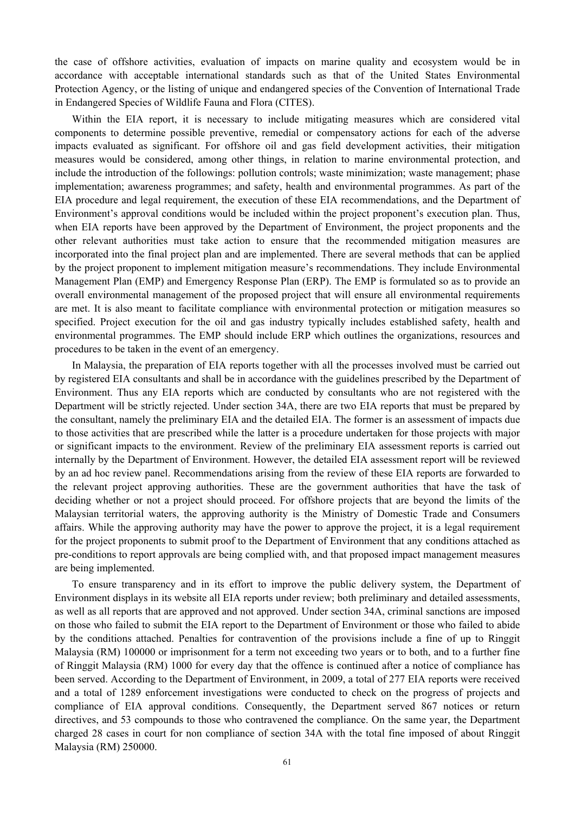the case of offshore activities, evaluation of impacts on marine quality and ecosystem would be in accordance with acceptable international standards such as that of the United States Environmental Protection Agency, or the listing of unique and endangered species of the Convention of International Trade in Endangered Species of Wildlife Fauna and Flora (CITES).

Within the EIA report, it is necessary to include mitigating measures which are considered vital components to determine possible preventive, remedial or compensatory actions for each of the adverse impacts evaluated as significant. For offshore oil and gas field development activities, their mitigation measures would be considered, among other things, in relation to marine environmental protection, and include the introduction of the followings: pollution controls; waste minimization; waste management; phase implementation; awareness programmes; and safety, health and environmental programmes. As part of the EIA procedure and legal requirement, the execution of these EIA recommendations, and the Department of Environment's approval conditions would be included within the project proponent's execution plan. Thus, when EIA reports have been approved by the Department of Environment, the project proponents and the other relevant authorities must take action to ensure that the recommended mitigation measures are incorporated into the final project plan and are implemented. There are several methods that can be applied by the project proponent to implement mitigation measure's recommendations. They include Environmental Management Plan (EMP) and Emergency Response Plan (ERP). The EMP is formulated so as to provide an overall environmental management of the proposed project that will ensure all environmental requirements are met. It is also meant to facilitate compliance with environmental protection or mitigation measures so specified. Project execution for the oil and gas industry typically includes established safety, health and environmental programmes. The EMP should include ERP which outlines the organizations, resources and procedures to be taken in the event of an emergency.

In Malaysia, the preparation of EIA reports together with all the processes involved must be carried out by registered EIA consultants and shall be in accordance with the guidelines prescribed by the Department of Environment. Thus any EIA reports which are conducted by consultants who are not registered with the Department will be strictly rejected. Under section 34A, there are two EIA reports that must be prepared by the consultant, namely the preliminary EIA and the detailed EIA. The former is an assessment of impacts due to those activities that are prescribed while the latter is a procedure undertaken for those projects with major or significant impacts to the environment. Review of the preliminary EIA assessment reports is carried out internally by the Department of Environment. However, the detailed EIA assessment report will be reviewed by an ad hoc review panel. Recommendations arising from the review of these EIA reports are forwarded to the relevant project approving authorities. These are the government authorities that have the task of deciding whether or not a project should proceed. For offshore projects that are beyond the limits of the Malaysian territorial waters, the approving authority is the Ministry of Domestic Trade and Consumers affairs. While the approving authority may have the power to approve the project, it is a legal requirement for the project proponents to submit proof to the Department of Environment that any conditions attached as pre-conditions to report approvals are being complied with, and that proposed impact management measures are being implemented.

To ensure transparency and in its effort to improve the public delivery system, the Department of Environment displays in its website all EIA reports under review; both preliminary and detailed assessments, as well as all reports that are approved and not approved. Under section 34A, criminal sanctions are imposed on those who failed to submit the EIA report to the Department of Environment or those who failed to abide by the conditions attached. Penalties for contravention of the provisions include a fine of up to Ringgit Malaysia (RM) 100000 or imprisonment for a term not exceeding two years or to both, and to a further fine of Ringgit Malaysia (RM) 1000 for every day that the offence is continued after a notice of compliance has been served. According to the Department of Environment, in 2009, a total of 277 EIA reports were received and a total of 1289 enforcement investigations were conducted to check on the progress of projects and compliance of EIA approval conditions. Consequently, the Department served 867 notices or return directives, and 53 compounds to those who contravened the compliance. On the same year, the Department charged 28 cases in court for non compliance of section 34A with the total fine imposed of about Ringgit Malaysia (RM) 250000.